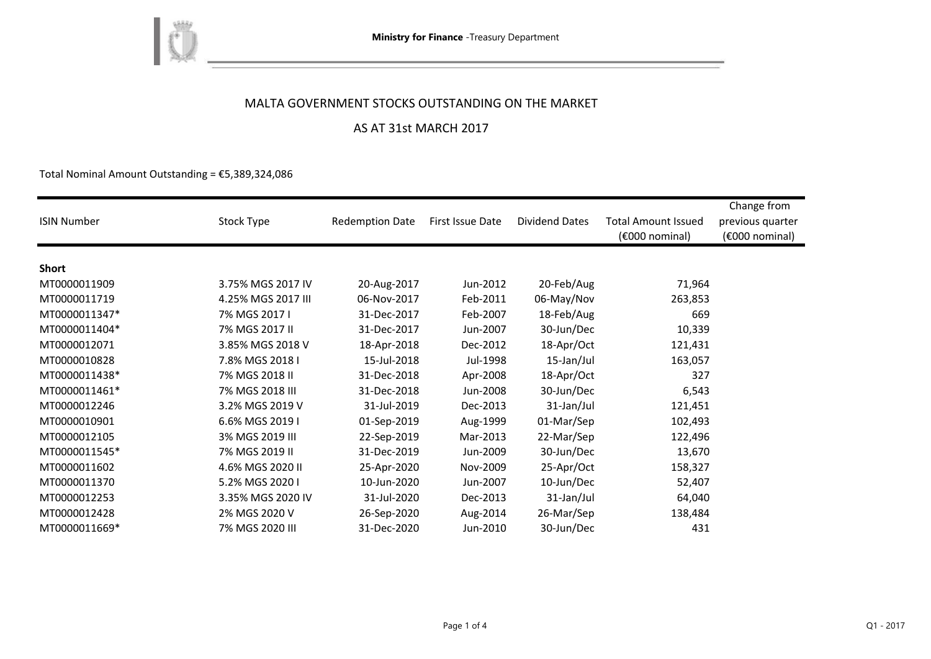

## MALTA GOVERNMENT STOCKS OUTSTANDING ON THE MARKET

### AS AT 31st MARCH 2017

Total Nominal Amount Outstanding =  $E$ 5,389,324,086

| <b>ISIN Number</b> | Stock Type         | <b>Redemption Date</b> | First Issue Date | <b>Dividend Dates</b> | <b>Total Amount Issued</b><br>(€000 nominal) | Change from<br>previous quarter<br>(€000 nominal) |
|--------------------|--------------------|------------------------|------------------|-----------------------|----------------------------------------------|---------------------------------------------------|
|                    |                    |                        |                  |                       |                                              |                                                   |
| <b>Short</b>       |                    |                        |                  |                       |                                              |                                                   |
| MT0000011909       | 3.75% MGS 2017 IV  | 20-Aug-2017            | Jun-2012         | 20-Feb/Aug            | 71,964                                       |                                                   |
| MT0000011719       | 4.25% MGS 2017 III | 06-Nov-2017            | Feb-2011         | 06-May/Nov            | 263,853                                      |                                                   |
| MT0000011347*      | 7% MGS 2017 I      | 31-Dec-2017            | Feb-2007         | 18-Feb/Aug            | 669                                          |                                                   |
| MT0000011404*      | 7% MGS 2017 II     | 31-Dec-2017            | Jun-2007         | 30-Jun/Dec            | 10,339                                       |                                                   |
| MT0000012071       | 3.85% MGS 2018 V   | 18-Apr-2018            | Dec-2012         | 18-Apr/Oct            | 121,431                                      |                                                   |
| MT0000010828       | 7.8% MGS 2018 I    | 15-Jul-2018            | Jul-1998         | 15-Jan/Jul            | 163,057                                      |                                                   |
| MT0000011438*      | 7% MGS 2018 II     | 31-Dec-2018            | Apr-2008         | 18-Apr/Oct            | 327                                          |                                                   |
| MT0000011461*      | 7% MGS 2018 III    | 31-Dec-2018            | Jun-2008         | 30-Jun/Dec            | 6,543                                        |                                                   |
| MT0000012246       | 3.2% MGS 2019 V    | 31-Jul-2019            | Dec-2013         | 31-Jan/Jul            | 121,451                                      |                                                   |
| MT0000010901       | 6.6% MGS 2019 I    | 01-Sep-2019            | Aug-1999         | 01-Mar/Sep            | 102,493                                      |                                                   |
| MT0000012105       | 3% MGS 2019 III    | 22-Sep-2019            | Mar-2013         | 22-Mar/Sep            | 122,496                                      |                                                   |
| MT0000011545*      | 7% MGS 2019 II     | 31-Dec-2019            | Jun-2009         | 30-Jun/Dec            | 13,670                                       |                                                   |
| MT0000011602       | 4.6% MGS 2020 II   | 25-Apr-2020            | Nov-2009         | 25-Apr/Oct            | 158,327                                      |                                                   |
| MT0000011370       | 5.2% MGS 2020 I    | 10-Jun-2020            | Jun-2007         | 10-Jun/Dec            | 52,407                                       |                                                   |
| MT0000012253       | 3.35% MGS 2020 IV  | 31-Jul-2020            | Dec-2013         | 31-Jan/Jul            | 64,040                                       |                                                   |
| MT0000012428       | 2% MGS 2020 V      | 26-Sep-2020            | Aug-2014         | 26-Mar/Sep            | 138,484                                      |                                                   |
| MT0000011669*      | 7% MGS 2020 III    | 31-Dec-2020            | Jun-2010         | 30-Jun/Dec            | 431                                          |                                                   |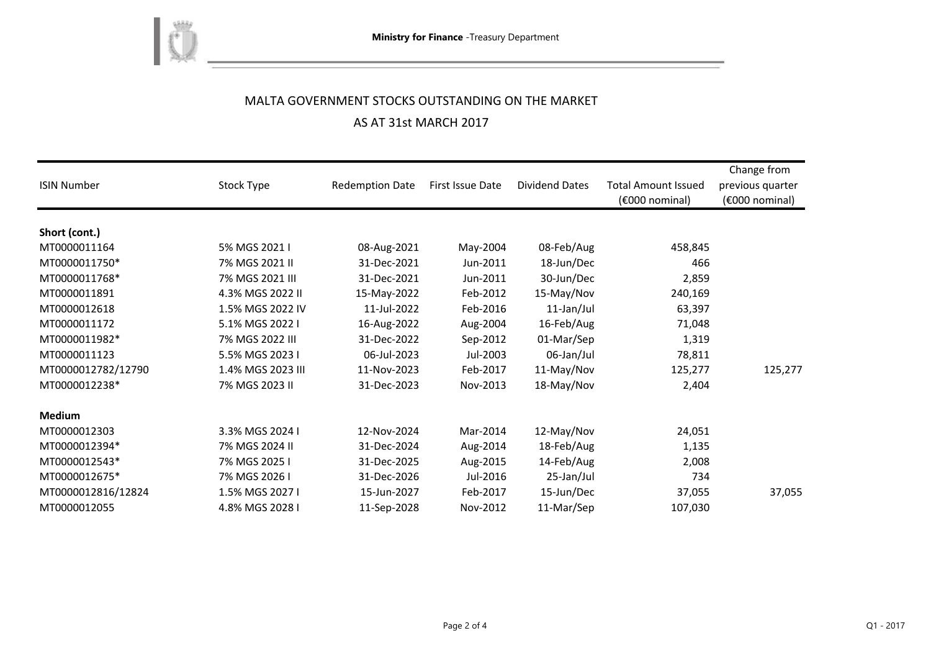

# MALTA GOVERNMENT STOCKS OUTSTANDING ON THE MARKET AS AT 31st MARCH 2017

| <b>ISIN Number</b> | Stock Type        | <b>Redemption Date</b> | <b>First Issue Date</b> | <b>Dividend Dates</b> | <b>Total Amount Issued</b><br>(€000 nominal) | Change from<br>previous quarter<br>(€000 nominal) |
|--------------------|-------------------|------------------------|-------------------------|-----------------------|----------------------------------------------|---------------------------------------------------|
| Short (cont.)      |                   |                        |                         |                       |                                              |                                                   |
| MT0000011164       | 5% MGS 2021 I     | 08-Aug-2021            | May-2004                | 08-Feb/Aug            | 458,845                                      |                                                   |
| MT0000011750*      | 7% MGS 2021 II    | 31-Dec-2021            | Jun-2011                | 18-Jun/Dec            | 466                                          |                                                   |
| MT0000011768*      | 7% MGS 2021 III   | 31-Dec-2021            | Jun-2011                | 30-Jun/Dec            | 2,859                                        |                                                   |
| MT0000011891       | 4.3% MGS 2022 II  | 15-May-2022            | Feb-2012                | 15-May/Nov            | 240,169                                      |                                                   |
| MT0000012618       | 1.5% MGS 2022 IV  | 11-Jul-2022            | Feb-2016                | 11-Jan/Jul            | 63,397                                       |                                                   |
| MT0000011172       | 5.1% MGS 2022 I   | 16-Aug-2022            | Aug-2004                | 16-Feb/Aug            | 71,048                                       |                                                   |
| MT0000011982*      | 7% MGS 2022 III   | 31-Dec-2022            | Sep-2012                | 01-Mar/Sep            | 1,319                                        |                                                   |
| MT0000011123       | 5.5% MGS 2023 I   | 06-Jul-2023            | Jul-2003                | 06-Jan/Jul            | 78,811                                       |                                                   |
| MT0000012782/12790 | 1.4% MGS 2023 III | 11-Nov-2023            | Feb-2017                | 11-May/Nov            | 125,277                                      | 125,277                                           |
| MT0000012238*      | 7% MGS 2023 II    | 31-Dec-2023            | Nov-2013                | 18-May/Nov            | 2,404                                        |                                                   |
| <b>Medium</b>      |                   |                        |                         |                       |                                              |                                                   |
| MT0000012303       | 3.3% MGS 2024 I   | 12-Nov-2024            | Mar-2014                | 12-May/Nov            | 24,051                                       |                                                   |
| MT0000012394*      | 7% MGS 2024 II    | 31-Dec-2024            | Aug-2014                | 18-Feb/Aug            | 1,135                                        |                                                   |
| MT0000012543*      | 7% MGS 2025 I     | 31-Dec-2025            | Aug-2015                | 14-Feb/Aug            | 2,008                                        |                                                   |
| MT0000012675*      | 7% MGS 2026 I     | 31-Dec-2026            | Jul-2016                | 25-Jan/Jul            | 734                                          |                                                   |
| MT0000012816/12824 | 1.5% MGS 2027 I   | 15-Jun-2027            | Feb-2017                | 15-Jun/Dec            | 37,055                                       | 37,055                                            |
| MT0000012055       | 4.8% MGS 2028 I   | 11-Sep-2028            | Nov-2012                | 11-Mar/Sep            | 107,030                                      |                                                   |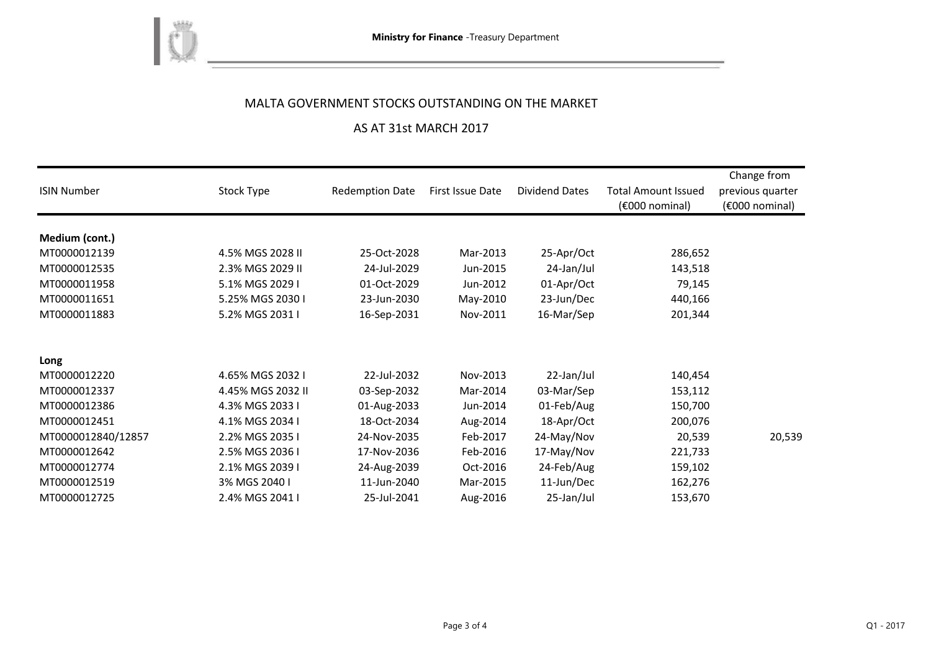

## MALTA GOVERNMENT STOCKS OUTSTANDING ON THE MARKET

### AS AT 31st MARCH 2017

| <b>ISIN Number</b> | Stock Type        | <b>Redemption Date</b> | First Issue Date | <b>Dividend Dates</b> | <b>Total Amount Issued</b><br>$(6000)$ nominal) | Change from<br>previous quarter<br>$(6000)$ nominal) |
|--------------------|-------------------|------------------------|------------------|-----------------------|-------------------------------------------------|------------------------------------------------------|
|                    |                   |                        |                  |                       |                                                 |                                                      |
| Medium (cont.)     |                   |                        |                  |                       |                                                 |                                                      |
| MT0000012139       | 4.5% MGS 2028 II  | 25-Oct-2028            | Mar-2013         | 25-Apr/Oct            | 286,652                                         |                                                      |
| MT0000012535       | 2.3% MGS 2029 II  | 24-Jul-2029            | Jun-2015         | 24-Jan/Jul            | 143,518                                         |                                                      |
| MT0000011958       | 5.1% MGS 2029 I   | 01-Oct-2029            | Jun-2012         | 01-Apr/Oct            | 79,145                                          |                                                      |
| MT0000011651       | 5.25% MGS 2030 I  | 23-Jun-2030            | May-2010         | 23-Jun/Dec            | 440,166                                         |                                                      |
| MT0000011883       | 5.2% MGS 2031 I   | 16-Sep-2031            | Nov-2011         | 16-Mar/Sep            | 201,344                                         |                                                      |
|                    |                   |                        |                  |                       |                                                 |                                                      |
| Long               |                   |                        |                  |                       |                                                 |                                                      |
| MT0000012220       | 4.65% MGS 2032 I  | 22-Jul-2032            | Nov-2013         | 22-Jan/Jul            | 140,454                                         |                                                      |
| MT0000012337       | 4.45% MGS 2032 II | 03-Sep-2032            | Mar-2014         | 03-Mar/Sep            | 153,112                                         |                                                      |
| MT0000012386       | 4.3% MGS 2033 I   | 01-Aug-2033            | Jun-2014         | 01-Feb/Aug            | 150,700                                         |                                                      |
| MT0000012451       | 4.1% MGS 2034 I   | 18-Oct-2034            | Aug-2014         | 18-Apr/Oct            | 200,076                                         |                                                      |
| MT0000012840/12857 | 2.2% MGS 2035 I   | 24-Nov-2035            | Feb-2017         | 24-May/Nov            | 20,539                                          | 20,539                                               |
| MT0000012642       | 2.5% MGS 2036 I   | 17-Nov-2036            | Feb-2016         | 17-May/Nov            | 221,733                                         |                                                      |
| MT0000012774       | 2.1% MGS 2039 I   | 24-Aug-2039            | Oct-2016         | 24-Feb/Aug            | 159,102                                         |                                                      |
| MT0000012519       | 3% MGS 2040 I     | 11-Jun-2040            | Mar-2015         | 11-Jun/Dec            | 162,276                                         |                                                      |
| MT0000012725       | 2.4% MGS 2041 I   | 25-Jul-2041            | Aug-2016         | 25-Jan/Jul            | 153,670                                         |                                                      |